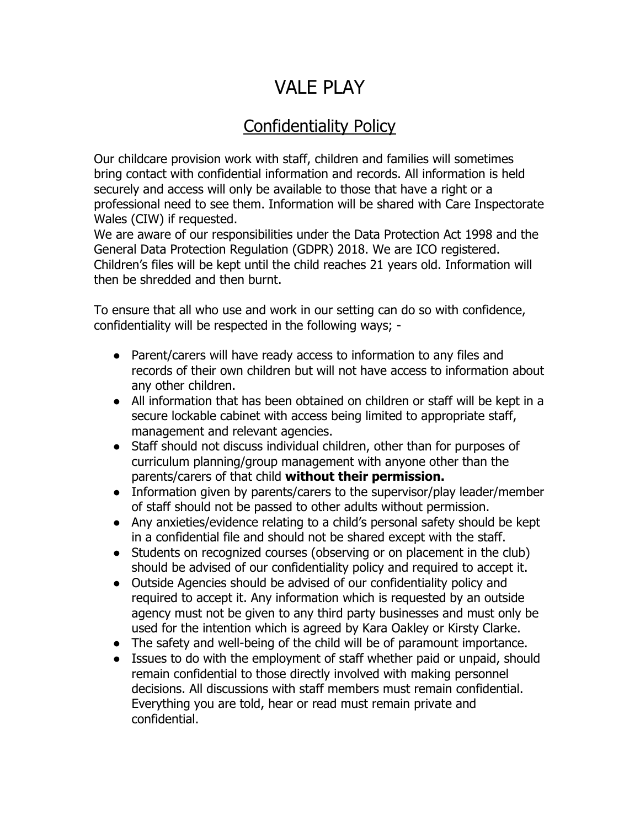## VALE PLAY

## Confidentiality Policy

Our childcare provision work with staff, children and families will sometimes bring contact with confidential information and records. All information is held securely and access will only be available to those that have a right or a professional need to see them. Information will be shared with Care Inspectorate Wales (CIW) if requested.

We are aware of our responsibilities under the Data Protection Act 1998 and the General Data Protection Regulation (GDPR) 2018. We are ICO registered. Children's files will be kept until the child reaches 21 years old. Information will then be shredded and then burnt.

To ensure that all who use and work in our setting can do so with confidence, confidentiality will be respected in the following ways; -

- Parent/carers will have ready access to information to any files and records of their own children but will not have access to information about any other children.
- All information that has been obtained on children or staff will be kept in a secure lockable cabinet with access being limited to appropriate staff, management and relevant agencies.
- Staff should not discuss individual children, other than for purposes of curriculum planning/group management with anyone other than the parents/carers of that child **without their permission.**
- Information given by parents/carers to the supervisor/play leader/member of staff should not be passed to other adults without permission.
- Any anxieties/evidence relating to a child's personal safety should be kept in a confidential file and should not be shared except with the staff.
- Students on recognized courses (observing or on placement in the club) should be advised of our confidentiality policy and required to accept it.
- Outside Agencies should be advised of our confidentiality policy and required to accept it. Any information which is requested by an outside agency must not be given to any third party businesses and must only be used for the intention which is agreed by Kara Oakley or Kirsty Clarke.
- The safety and well-being of the child will be of paramount importance.
- Issues to do with the employment of staff whether paid or unpaid, should remain confidential to those directly involved with making personnel decisions. All discussions with staff members must remain confidential. Everything you are told, hear or read must remain private and confidential.